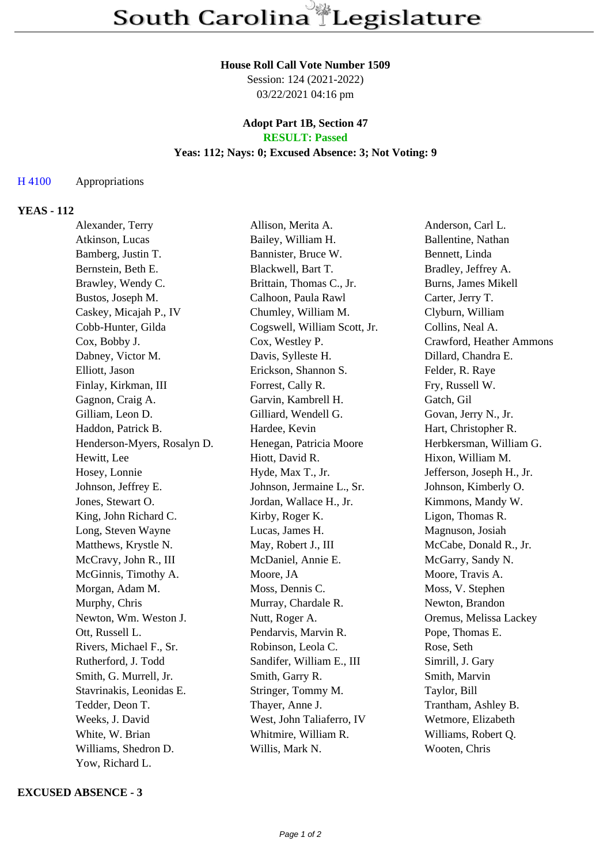#### **House Roll Call Vote Number 1509**

Session: 124 (2021-2022) 03/22/2021 04:16 pm

## **Adopt Part 1B, Section 47 RESULT: Passed**

# **Yeas: 112; Nays: 0; Excused Absence: 3; Not Voting: 9**

### H 4100 Appropriations

# **YEAS - 112**

| Alexander, Terry            | Allison, Merita A.           | Anderson, Carl L.         |
|-----------------------------|------------------------------|---------------------------|
| Atkinson, Lucas             | Bailey, William H.           | Ballentine, Nathan        |
| Bamberg, Justin T.          | Bannister, Bruce W.          | Bennett, Linda            |
| Bernstein, Beth E.          | Blackwell, Bart T.           | Bradley, Jeffrey A.       |
| Brawley, Wendy C.           | Brittain, Thomas C., Jr.     | Burns, James Mikell       |
| Bustos, Joseph M.           | Calhoon, Paula Rawl          | Carter, Jerry T.          |
| Caskey, Micajah P., IV      | Chumley, William M.          | Clyburn, William          |
| Cobb-Hunter, Gilda          | Cogswell, William Scott, Jr. | Collins, Neal A.          |
| Cox, Bobby J.               | Cox, Westley P.              | Crawford, Heather Ammons  |
| Dabney, Victor M.           | Davis, Sylleste H.           | Dillard, Chandra E.       |
| Elliott, Jason              | Erickson, Shannon S.         | Felder, R. Raye           |
| Finlay, Kirkman, III        | Forrest, Cally R.            | Fry, Russell W.           |
| Gagnon, Craig A.            | Garvin, Kambrell H.          | Gatch, Gil                |
| Gilliam, Leon D.            | Gilliard, Wendell G.         | Govan, Jerry N., Jr.      |
| Haddon, Patrick B.          | Hardee, Kevin                | Hart, Christopher R.      |
| Henderson-Myers, Rosalyn D. | Henegan, Patricia Moore      | Herbkersman, William G.   |
| Hewitt, Lee                 | Hiott, David R.              | Hixon, William M.         |
| Hosey, Lonnie               | Hyde, Max T., Jr.            | Jefferson, Joseph H., Jr. |
| Johnson, Jeffrey E.         | Johnson, Jermaine L., Sr.    | Johnson, Kimberly O.      |
| Jones, Stewart O.           | Jordan, Wallace H., Jr.      | Kimmons, Mandy W.         |
| King, John Richard C.       | Kirby, Roger K.              | Ligon, Thomas R.          |
| Long, Steven Wayne          | Lucas, James H.              | Magnuson, Josiah          |
| Matthews, Krystle N.        | May, Robert J., III          | McCabe, Donald R., Jr.    |
| McCravy, John R., III       | McDaniel, Annie E.           | McGarry, Sandy N.         |
| McGinnis, Timothy A.        | Moore, JA                    | Moore, Travis A.          |
| Morgan, Adam M.             | Moss, Dennis C.              | Moss, V. Stephen          |
| Murphy, Chris               | Murray, Chardale R.          | Newton, Brandon           |
| Newton, Wm. Weston J.       | Nutt, Roger A.               | Oremus, Melissa Lackey    |
| Ott, Russell L.             | Pendarvis, Marvin R.         | Pope, Thomas E.           |
| Rivers, Michael F., Sr.     | Robinson, Leola C.           | Rose, Seth                |
| Rutherford, J. Todd         | Sandifer, William E., III    | Simrill, J. Gary          |
| Smith, G. Murrell, Jr.      | Smith, Garry R.              | Smith, Marvin             |
| Stavrinakis, Leonidas E.    | Stringer, Tommy M.           | Taylor, Bill              |
| Tedder, Deon T.             | Thayer, Anne J.              | Trantham, Ashley B.       |
| Weeks, J. David             | West, John Taliaferro, IV    | Wetmore, Elizabeth        |
| White, W. Brian             | Whitmire, William R.         | Williams, Robert Q.       |
| Williams, Shedron D.        | Willis, Mark N.              | Wooten, Chris             |
| Yow, Richard L.             |                              |                           |

### **EXCUSED ABSENCE - 3**